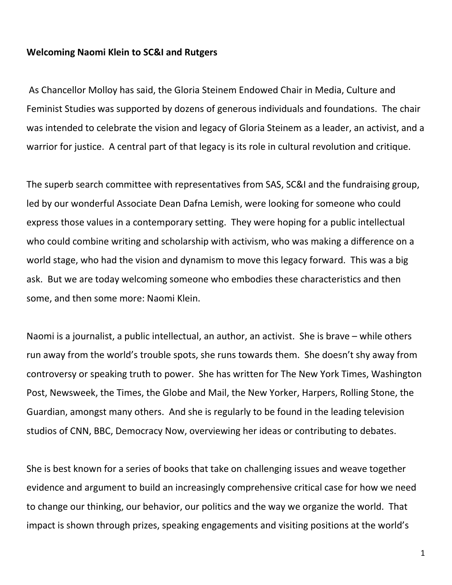## **Welcoming Naomi Klein to SC&I and Rutgers**

As Chancellor Molloy has said, the Gloria Steinem Endowed Chair in Media, Culture and Feminist Studies was supported by dozens of generous individuals and foundations. The chair was intended to celebrate the vision and legacy of Gloria Steinem as a leader, an activist, and a warrior for justice. A central part of that legacy is its role in cultural revolution and critique.

The superb search committee with representatives from SAS, SC&I and the fundraising group, led by our wonderful Associate Dean Dafna Lemish, were looking for someone who could express those values in a contemporary setting. They were hoping for a public intellectual who could combine writing and scholarship with activism, who was making a difference on a world stage, who had the vision and dynamism to move this legacy forward. This was a big ask. But we are today welcoming someone who embodies these characteristics and then some, and then some more: Naomi Klein.

Naomi is a journalist, a public intellectual, an author, an activist. She is brave – while others run away from the world's trouble spots, she runs towards them. She doesn't shy away from controversy or speaking truth to power. She has written for The New York Times, Washington Post, Newsweek, the Times, the Globe and Mail, the New Yorker, Harpers, Rolling Stone, the Guardian, amongst many others. And she is regularly to be found in the leading television studios of CNN, BBC, Democracy Now, overviewing her ideas or contributing to debates.

She is best known for a series of books that take on challenging issues and weave together evidence and argument to build an increasingly comprehensive critical case for how we need to change our thinking, our behavior, our politics and the way we organize the world. That impact is shown through prizes, speaking engagements and visiting positions at the world's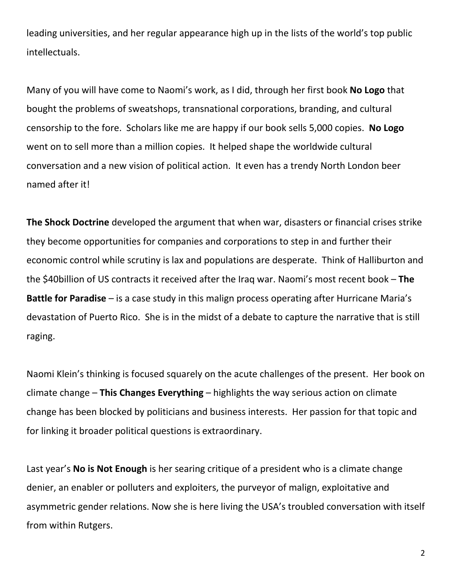leading universities, and her regular appearance high up in the lists of the world's top public intellectuals.

Many of you will have come to Naomi's work, as I did, through her first book **No Logo** that bought the problems of sweatshops, transnational corporations, branding, and cultural censorship to the fore. Scholars like me are happy if our book sells 5,000 copies. **No Logo** went on to sell more than a million copies. It helped shape the worldwide cultural conversation and a new vision of political action. It even has a trendy North London beer named after it!

**The Shock Doctrine** developed the argument that when war, disasters or financial crises strike they become opportunities for companies and corporations to step in and further their economic control while scrutiny is lax and populations are desperate. Think of Halliburton and the \$40billion of US contracts it received after the Iraq war. Naomi's most recent book – **The Battle for Paradise** – is a case study in this malign process operating after Hurricane Maria's devastation of Puerto Rico. She is in the midst of a debate to capture the narrative that is still raging.

Naomi Klein's thinking is focused squarely on the acute challenges of the present. Her book on climate change – **This Changes Everything** – highlights the way serious action on climate change has been blocked by politicians and business interests. Her passion for that topic and for linking it broader political questions is extraordinary.

Last year's **No is Not Enough** is her searing critique of a president who is a climate change denier, an enabler or polluters and exploiters, the purveyor of malign, exploitative and asymmetric gender relations. Now she is here living the USA's troubled conversation with itself from within Rutgers.